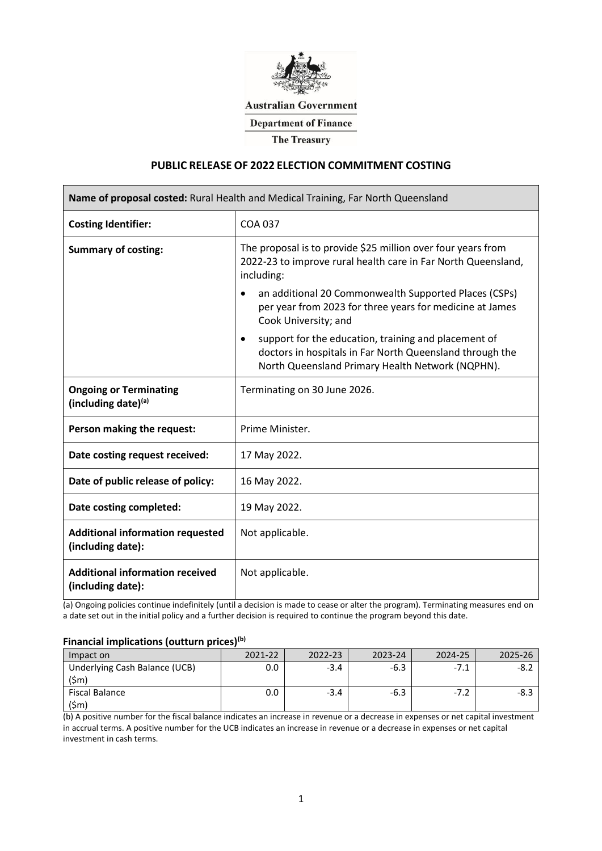

### **Australian Government**

**Department of Finance** 

**The Treasury** 

### **PUBLIC RELEASE OF 2022 ELECTION COMMITMENT COSTING**

| Name of proposal costed: Rural Health and Medical Training, Far North Queensland |                                                                                                                                                                                                                                                                                                                                                                                                                                |  |  |  |  |
|----------------------------------------------------------------------------------|--------------------------------------------------------------------------------------------------------------------------------------------------------------------------------------------------------------------------------------------------------------------------------------------------------------------------------------------------------------------------------------------------------------------------------|--|--|--|--|
| <b>Costing Identifier:</b>                                                       | COA 037                                                                                                                                                                                                                                                                                                                                                                                                                        |  |  |  |  |
| <b>Summary of costing:</b>                                                       | The proposal is to provide \$25 million over four years from<br>2022-23 to improve rural health care in Far North Queensland,<br>including:<br>an additional 20 Commonwealth Supported Places (CSPs)<br>٠<br>per year from 2023 for three years for medicine at James<br>Cook University; and<br>support for the education, training and placement of<br>$\bullet$<br>doctors in hospitals in Far North Queensland through the |  |  |  |  |
|                                                                                  | North Queensland Primary Health Network (NQPHN).                                                                                                                                                                                                                                                                                                                                                                               |  |  |  |  |
| <b>Ongoing or Terminating</b><br>(including date)(a)                             | Terminating on 30 June 2026.                                                                                                                                                                                                                                                                                                                                                                                                   |  |  |  |  |
| Person making the request:                                                       | Prime Minister.                                                                                                                                                                                                                                                                                                                                                                                                                |  |  |  |  |
| Date costing request received:                                                   | 17 May 2022.                                                                                                                                                                                                                                                                                                                                                                                                                   |  |  |  |  |
| Date of public release of policy:                                                | 16 May 2022.                                                                                                                                                                                                                                                                                                                                                                                                                   |  |  |  |  |
| Date costing completed:                                                          | 19 May 2022.                                                                                                                                                                                                                                                                                                                                                                                                                   |  |  |  |  |
| <b>Additional information requested</b><br>(including date):                     | Not applicable.                                                                                                                                                                                                                                                                                                                                                                                                                |  |  |  |  |
| <b>Additional information received</b><br>(including date):                      | Not applicable.                                                                                                                                                                                                                                                                                                                                                                                                                |  |  |  |  |

(a) Ongoing policies continue indefinitely (until a decision is made to cease or alter the program). Terminating measures end on a date set out in the initial policy and a further decision is required to continue the program beyond this date.

# **Financial implications (outturn prices)(b)**

| Impact on                     | 2021-22 | 2022-23 | 2023-24 | 2024-25 |  |
|-------------------------------|---------|---------|---------|---------|--|
| Underlying Cash Balance (UCB) |         | -3.4    |         | $-1$    |  |
| \$m`                          |         |         |         |         |  |
| Fiscal Balance                |         | -3.4    |         | $-1$    |  |
|                               |         |         |         |         |  |

(b) A positive number for the fiscal balance indicates an increase in revenue or a decrease in expenses or net capital investment in accrual terms. A positive number for the UCB indicates an increase in revenue or a decrease in expenses or net capital investment in cash terms.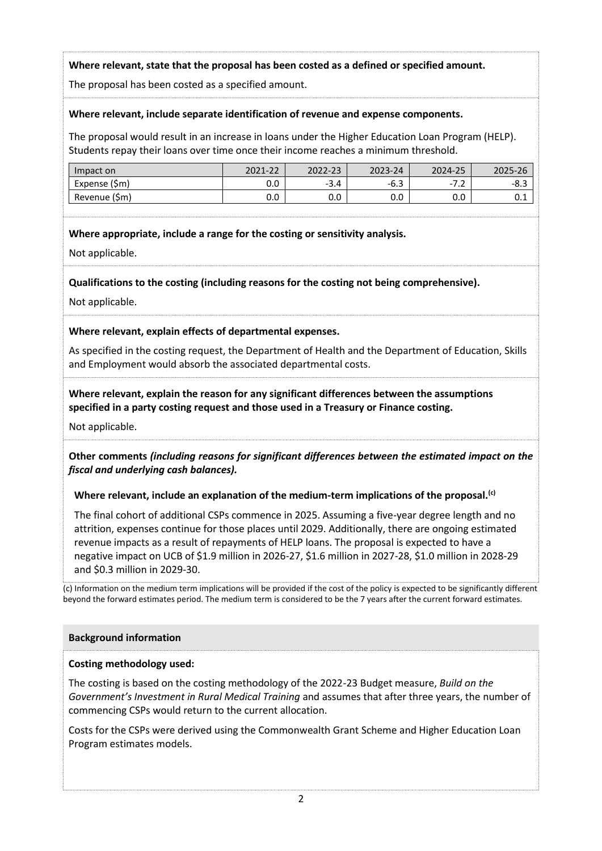## **Where relevant, state that the proposal has been costed as a defined or specified amount.**

The proposal has been costed as a specified amount.

### **Where relevant, include separate identification of revenue and expense components.**

The proposal would result in an increase in loans under the Higher Education Loan Program (HELP). Students repay their loans over time once their income reaches a minimum threshold.

| วact on          |    |                     |        |
|------------------|----|---------------------|--------|
| EXPERSE<br>ווועו | -3 | -<br>$\cdot$ $\sim$ | -2     |
| [Sm]<br>venue    |    |                     | ------ |

### **Where appropriate, include a range for the costing or sensitivity analysis.**

Not applicable.

**Qualifications to the costing (including reasons for the costing not being comprehensive).**

Not applicable.

### **Where relevant, explain effects of departmental expenses.**

As specified in the costing request, the Department of Health and the Department of Education, Skills and Employment would absorb the associated departmental costs.

### **Where relevant, explain the reason for any significant differences between the assumptions specified in a party costing request and those used in a Treasury or Finance costing.**

Not applicable.

**Other comments** *(including reasons for significant differences between the estimated impact on the fiscal and underlying cash balances).*

### **Where relevant, include an explanation of the medium-term implications of the proposal.(c)**

The final cohort of additional CSPs commence in 2025. Assuming a five-year degree length and no attrition, expenses continue for those places until 2029. Additionally, there are ongoing estimated revenue impacts as a result of repayments of HELP loans. The proposal is expected to have a negative impact on UCB of \$1.9 million in 2026-27, \$1.6 million in 2027-28, \$1.0 million in 2028-29 and \$0.3 million in 2029-30.

(c) Information on the medium term implications will be provided if the cost of the policy is expected to be significantly different beyond the forward estimates period. The medium term is considered to be the 7 years after the current forward estimates.

#### **Background information**

### **Costing methodology used:**

The costing is based on the costing methodology of the 2022-23 Budget measure, *Build on the Government's Investment in Rural Medical Training* and assumes that after three years, the number of commencing CSPs would return to the current allocation.

Costs for the CSPs were derived using the Commonwealth Grant Scheme and Higher Education Loan Program estimates models.